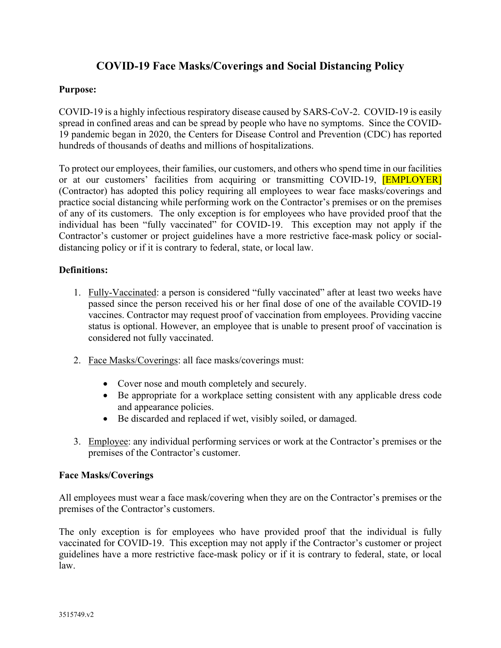# **COVID-19 Face Masks/Coverings and Social Distancing Policy**

## **Purpose:**

COVID-19 is a highly infectious respiratory disease caused by SARS-CoV-2. COVID-19 is easily spread in confined areas and can be spread by people who have no symptoms. Since the COVID-19 pandemic began in 2020, the Centers for Disease Control and Prevention (CDC) has reported hundreds of thousands of deaths and millions of hospitalizations.

or at our customers' facilities from acquiring or transmitting COVID-19, *[EMPLOYER]*  of any of its customers. The only exception is for employees who have provided proof that the To protect our employees, their families, our customers, and others who spend time in our facilities (Contractor) has adopted this policy requiring all employees to wear face masks/coverings and practice social distancing while performing work on the Contractor's premises or on the premises individual has been "fully vaccinated" for COVID-19. This exception may not apply if the Contractor's customer or project guidelines have a more restrictive face-mask policy or socialdistancing policy or if it is contrary to federal, state, or local law.

## **Definitions:**

- status is optional. However, an employee that is unable to present proof of vaccination is considered not fully vaccinated. 1. Fully-Vaccinated: a person is considered "fully vaccinated" after at least two weeks have passed since the person received his or her final dose of one of the available COVID-19 vaccines. Contractor may request proof of vaccination from employees. Providing vaccine
- considered not fully vaccinated.<br>2. Face Masks/Coverings: all face masks/coverings must:
	- Cover nose and mouth completely and securely.
	- Be appropriate for a workplace setting consistent with any applicable dress code and appearance policies.
	- Be discarded and replaced if wet, visibly soiled, or damaged.
- 3. Employee: any individual performing services or work at the Contractor's premises or the premises of the Contractor's customer.

#### **Face Masks/Coverings**

premises of the Contractor's customers. All employees must wear a face mask/covering when they are on the Contractor's premises or the

The only exception is for employees who have provided proof that the individual is fully vaccinated for COVID-19. This exception may not apply if the Contractor's customer or project guidelines have a more restrictive face-mask policy or if it is contrary to federal, state, or local law.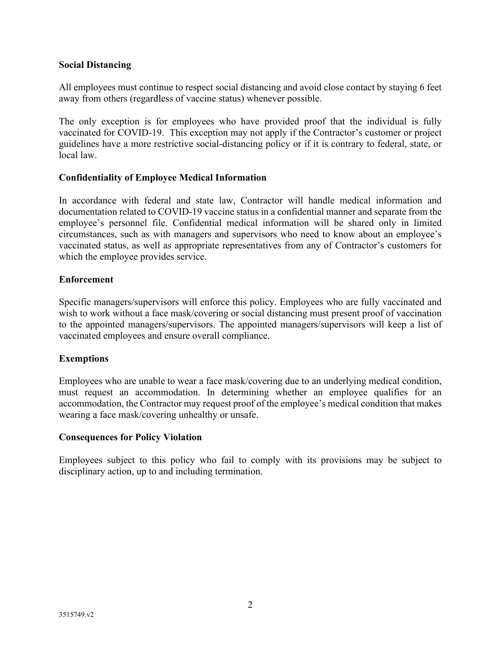## **Social Distancing**

All employees must continue to respect social distancing and avoid close contact by staying 6 feet away from others (regardless of vaccine status) whenever possible.

The only exception is for employees who have provided proof that the individual is fully vaccinated for COVID-19. This exception may not apply if the Contractor's customer or project guidelines have a more restrictive social-distancing policy or if it is contrary to federal, state, or local law.

## **Confidentiality of Employee Medical Information**

In accordance with federal and state law, Contractor will handle medical information and documentation related to COVID-19 vaccine status in a confidential manner and separate from the employee's personnel file. Confidential medical information will be shared only in limited circumstances, such as with managers and supervisors who need to know about an employee's vaccinated status, as well as appropriate representatives from any of Contractor's customers for which the employee provides service.

## **Enforcement**

 to the appointed managers/supervisors. The appointed managers/supervisors will keep a list of vaccinated employees and ensure overall compliance. Specific managers/supervisors will enforce this policy. Employees who are fully vaccinated and wish to work without a face mask/covering or social distancing must present proof of vaccination

#### **Exemptions**

Employees who are unable to wear a face mask/covering due to an underlying medical condition, must request an accommodation. In determining whether an employee qualifies for an accommodation, the Contractor may request proof of the employee's medical condition that makes wearing a face mask/covering unhealthy or unsafe.

# **Consequences for Policy Violation**

Employees subject to this policy who fail to comply with its provisions may be subject to disciplinary action, up to and including termination.